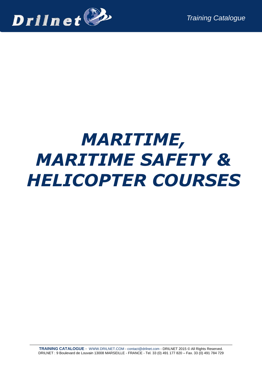

# *MARITIME, MARITIME SAFETY & HELICOPTER COURSES*

**TRAINING CATALOGUE** - [WWW.DRILNET.COM](http://www.drilnet.com/) - [contact@drilnet.com](mailto:contact@drilnet.com) - DRILNET 2015 © All Rights Reserved. DRILNET : 9 Boulevard de Louvain 13008 MARSEILLE - FRANCE - Tel. 33 (0) 491 177 820 – Fax. 33 (0) 491 784 729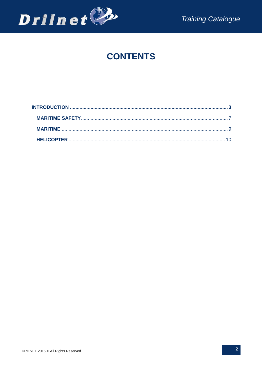

## **CONTENTS**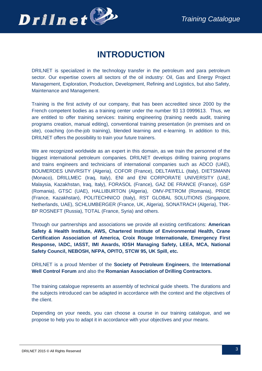

## **INTRODUCTION**

<span id="page-2-0"></span>DRILNET is specialized in the technology transfer in the petroleum and para petroleum sector. Our expertise covers all sectors of the oil industry: Oil, Gas and Energy Project Management, Exploration, Production, Development, Refining and Logistics, but also Safety, Maintenance and Management.

Training is the first activity of our company, that has been accredited since 2000 by the French competent bodies as a training center under the number 93 13 0999613. Thus, we are entitled to offer training services: training engineering (training needs audit, training programs creation, manual editing), conventional training presentation (in premises and on site), coaching (on-the-job training), blended learning and e-learning. In addition to this, DRILNET offers the possibility to train your future trainers.

We are recognized worldwide as an expert in this domain, as we train the personnel of the biggest international petroleum companies. DRILNET develops drilling training programs and trains engineers and technicians of international companies such as ADCO (UAE), BOUMERDES UNIVRSITY (Algeria), COFOR (France), DELTAWELL (Italy), DIETSMANN (Monaco), DRILLMEC (Iraq, Italy), ENI and ENI CORPORATE UNIVERSITY (UAE, Malaysia, Kazakhstan, Iraq, Italy), FORASOL (France), GAZ DE FRANCE (France), GSP (Romania), GTSC (UAE), HALLIBURTON (Algeria), OMV-PETROM (Romania), PRIDE (France, Kazakhstan), POLITECHNICO (Italy), RST GLOBAL SOLUTIONS (Singapore, Netherlands, UAE), SCHLUMBERGER (France, UK, Algeria), SONATRACH (Algeria), TNK-BP ROSNEFT (Russia), TOTAL (France, Syria) and others.

Through our partnerships and associations we provide all existing certifications: **American Safety & Health Institute, AWS, Chartered Institute of Environmental Health, Crane Certification Association of America, Croix Rouge Internationale, Emergency First Response, IADC, IASST, IMI Awards, IOSH Managing Safety, LEEA, MCA, National Safety Council, NEBOSH, NFPA, OPITO, STCW 95, UK Spill, etc.**

DRILNET is a proud Member of the **Society of Petroleum Engineers**, the **International Well Control Forum** and also the **Romanian Association of Drilling Contractors.**

The training catalogue represents an assembly of technical guide sheets. The durations and the subjects introduced can be adapted in accordance with the context and the objectives of the client.

Depending on your needs, you can choose a course in our training catalogue, and we propose to help you to adapt it in accordance with your objectives and your means.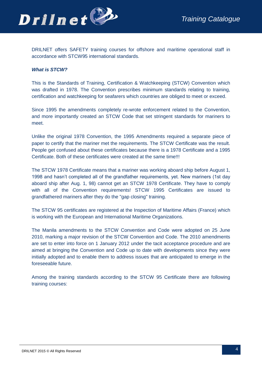

DRILNET offers SAFETY training courses for offshore and maritime operational staff in accordance with STCW95 international standards.

### *What is STCW?*

This is the Standards of Training, Certification & Watchkeeping (STCW) Convention which was drafted in 1978. The Convention prescribes minimum standards relating to training, certification and watchkeeping for seafarers which countries are obliged to meet or exceed.

Since 1995 the amendments completely re-wrote enforcement related to the Convention, and more importantly created an STCW Code that set stringent standards for mariners to meet.

Unlike the original 1978 Convention, the 1995 Amendments required a separate piece of paper to certify that the mariner met the requirements. The STCW Certificate was the result. People get confused about these certificates because there is a 1978 Certificate and a 1995 Certificate. Both of these certificates were created at the same time!!!

The STCW 1978 Certificate means that a mariner was working aboard ship before August 1, 1998 and hasn't completed all of the grandfather requirements, yet. New mariners (1st day aboard ship after Aug. 1, 98) cannot get an STCW 1978 Certificate. They have to comply with all of the Convention requirements! STCW 1995 Certificates are issued to grandfathered mariners after they do the "gap closing" training.

The STCW 95 certificates are registered at the Inspection of Maritime Affairs (France) which is working with the European and International Maritime Organizations.

The Manila amendments to the STCW Convention and Code were adopted on 25 June 2010, marking a major revision of the STCW Convention and Code. The 2010 amendments are set to enter into force on 1 January 2012 under the tacit acceptance procedure and are aimed at bringing the Convention and Code up to date with developments since they were initially adopted and to enable them to address issues that are anticipated to emerge in the foreseeable future.

Among the training standards according to the STCW 95 Certificate there are following training courses: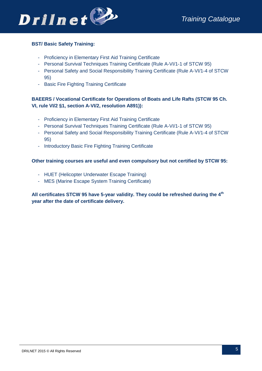

### **BST/ Basic Safety Training:**

- Proficiency in Elementary First Aid Training Certificate
- Personal Survival Techniques Training Certificate (Rule A-VI/1-1 of STCW 95)
- Personal Safety and Social Responsibility Training Certificate (Rule A-VI/1-4 of STCW 95)
- Basic Fire Fighting Training Certificate

### **BAEERS / Vocational Certificate for Operations of Boats and Life Rafts (STCW 95 Ch. VI, rule VI/2 §1, section A-VI/2, resolution A891)):**

- Proficiency in Elementary First Aid Training Certificate
- Personal Survival Techniques Training Certificate (Rule A-VI/1-1 of STCW 95)
- Personal Safety and Social Responsibility Training Certificate (Rule A-VI/1-4 of STCW 95)
- Introductory Basic Fire Fighting Training Certificate

### **Other training courses are useful and even compulsory but not certified by STCW 95:**

- HUET (Helicopter Underwater Escape Training)
- MES (Marine Escape System Training Certificate)

**All certificates STCW 95 have 5-year validity. They could be refreshed during the 4th year after the date of certificate delivery.**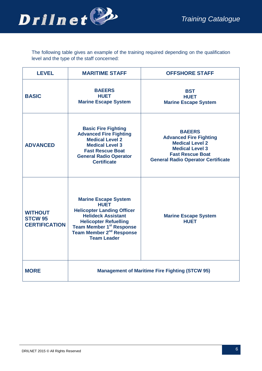

The following table gives an example of the training required depending on the qualification level and the type of the staff concerned:

| <b>LEVEL</b>                                             | <b>MARITIME STAFF</b>                                                                                                                                                                                                                              | <b>OFFSHORE STAFF</b>                                                                                                                                                      |  |  |
|----------------------------------------------------------|----------------------------------------------------------------------------------------------------------------------------------------------------------------------------------------------------------------------------------------------------|----------------------------------------------------------------------------------------------------------------------------------------------------------------------------|--|--|
| <b>BASIC</b>                                             | <b>BAEERS</b><br><b>HUET</b><br><b>Marine Escape System</b>                                                                                                                                                                                        | <b>BST</b><br><b>HUET</b><br><b>Marine Escape System</b>                                                                                                                   |  |  |
| <b>ADVANCED</b>                                          | <b>Basic Fire Fighting</b><br><b>Advanced Fire Fighting</b><br><b>Medical Level 2</b><br><b>Medical Level 3</b><br><b>Fast Rescue Boat</b><br><b>General Radio Operator</b><br><b>Certificate</b>                                                  | <b>BAEERS</b><br><b>Advanced Fire Fighting</b><br><b>Medical Level 2</b><br><b>Medical Level 3</b><br><b>Fast Rescue Boat</b><br><b>General Radio Operator Certificate</b> |  |  |
| <b>WITHOUT</b><br><b>STCW 95</b><br><b>CERTIFICATION</b> | <b>Marine Escape System</b><br><b>HUET</b><br><b>Helicopter Landing Officer</b><br><b>Helideck Assistant</b><br><b>Helicopter Refuelling</b><br>Team Member 1 <sup>st</sup> Response<br>Team Member 2 <sup>nd</sup> Response<br><b>Team Leader</b> | <b>Marine Escape System</b><br><b>HUET</b>                                                                                                                                 |  |  |
| <b>MORE</b>                                              | <b>Management of Maritime Fire Fighting (STCW 95)</b>                                                                                                                                                                                              |                                                                                                                                                                            |  |  |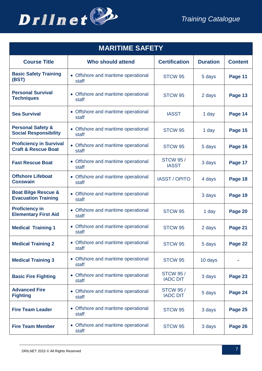

<span id="page-6-0"></span>

| <b>MARITIME SAFETY</b>                                           |                                              |                                    |                 |                |
|------------------------------------------------------------------|----------------------------------------------|------------------------------------|-----------------|----------------|
| <b>Course Title</b>                                              | <b>Who should attend</b>                     | <b>Certification</b>               | <b>Duration</b> | <b>Content</b> |
| <b>Basic Safety Training</b><br>(BST)                            | • Offshore and maritime operational<br>staff | STCW <sub>95</sub>                 | 5 days          | Page 11        |
| <b>Personal Survival</b><br><b>Techniques</b>                    | • Offshore and maritime operational<br>staff | STCW <sub>95</sub>                 | 2 days          | Page 13        |
| <b>Sea Survival</b>                                              | • Offshore and maritime operational<br>staff | <b>IASST</b>                       | 1 day           | Page 14        |
| <b>Personal Safety &amp;</b><br><b>Social Responsibility</b>     | • Offshore and maritime operational<br>staff | STCW <sub>95</sub>                 | 1 day           | Page 15        |
| <b>Proficiency in Survival</b><br><b>Craft &amp; Rescue Boat</b> | • Offshore and maritime operational<br>staff | STCW <sub>95</sub>                 | 5 days          | Page 16        |
| <b>Fast Rescue Boat</b>                                          | • Offshore and maritime operational<br>staff | <b>STCW 95/</b><br><b>IASST</b>    | 3 days          | Page 17        |
| <b>Offshore Lifeboat</b><br><b>Coxswain</b>                      | • Offshore and maritime operational<br>staff | <b>IASST/OPITO</b>                 | 4 days          | Page 18        |
| <b>Boat Bilge Rescue &amp;</b><br><b>Evacuation Training</b>     | • Offshore and maritime operational<br>staff |                                    | 3 days          | Page 19        |
| <b>Proficiency in</b><br><b>Elementary First Aid</b>             | • Offshore and maritime operational<br>staff | STCW <sub>95</sub>                 | 1 day           | Page 20        |
| <b>Medical Training 1</b>                                        | • Offshore and maritime operational<br>staff | STCW <sub>95</sub>                 | 2 days          | Page 21        |
| <b>Medical Training 2</b>                                        | • Offshore and maritime operational<br>staff | STCW 95                            | 5 days          | Page 22        |
| <b>Medical Training 3</b>                                        | • Offshore and maritime operational<br>staff | STCW <sub>95</sub>                 | 10 days         |                |
| <b>Basic Fire Fighting</b>                                       | • Offshore and maritime operational<br>staff | <b>STCW 95/</b><br><b>IADC DIT</b> | 3 days          | Page 23        |
| <b>Advanced Fire</b><br><b>Fighting</b>                          | • Offshore and maritime operational<br>staff | <b>STCW 95/</b><br><b>IADC DIT</b> | 5 days          | Page 24        |
| <b>Fire Team Leader</b>                                          | • Offshore and maritime operational<br>staff | STCW <sub>95</sub>                 | 3 days          | Page 25        |
| <b>Fire Team Member</b>                                          | • Offshore and maritime operational<br>staff | STCW <sub>95</sub>                 | 3 days          | Page 26        |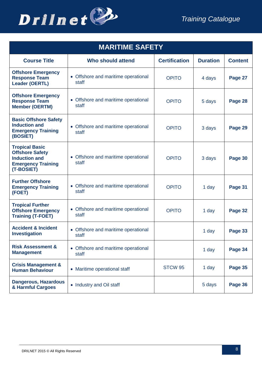

| <b>MARITIME SAFETY</b>                                                                                             |                                              |                      |                 |                |
|--------------------------------------------------------------------------------------------------------------------|----------------------------------------------|----------------------|-----------------|----------------|
| <b>Course Title</b>                                                                                                | <b>Who should attend</b>                     | <b>Certification</b> | <b>Duration</b> | <b>Content</b> |
| <b>Offshore Emergency</b><br><b>Response Team</b><br><b>Leader (OERTL)</b>                                         | • Offshore and maritime operational<br>staff | <b>OPITO</b>         | 4 days          | Page 27        |
| <b>Offshore Emergency</b><br><b>Response Team</b><br><b>Member (OERTM)</b>                                         | • Offshore and maritime operational<br>staff | <b>OPITO</b>         | 5 days          | Page 28        |
| <b>Basic Offshore Safety</b><br><b>Induction and</b><br><b>Emergency Training</b><br>(BOSIET)                      | • Offshore and maritime operational<br>staff | <b>OPITO</b>         | 3 days          | Page 29        |
| <b>Tropical Basic</b><br><b>Offshore Safety</b><br><b>Induction and</b><br><b>Emergency Training</b><br>(T-BOSIET) | • Offshore and maritime operational<br>staff | <b>OPITO</b>         | 3 days          | Page 30        |
| <b>Further Offshore</b><br><b>Emergency Training</b><br>(FOET)                                                     | • Offshore and maritime operational<br>staff | <b>OPITO</b>         | 1 day           | Page 31        |
| <b>Tropical Further</b><br><b>Offshore Emergency</b><br><b>Training (T-FOET)</b>                                   | • Offshore and maritime operational<br>staff | <b>OPITO</b>         | 1 day           | Page 32        |
| <b>Accident &amp; Incident</b><br><b>Investigation</b>                                                             | • Offshore and maritime operational<br>staff |                      | 1 day           | Page 33        |
| <b>Risk Assessment &amp;</b><br><b>Management</b>                                                                  | • Offshore and maritime operational<br>staff |                      | 1 day           | Page 34        |
| <b>Crisis Management &amp;</b><br><b>Human Behaviour</b>                                                           | • Maritime operational staff                 | STCW <sub>95</sub>   | 1 day           | Page 35        |
| <b>Dangerous, Hazardous</b><br>& Harmful Cargoes                                                                   | • Industry and Oil staff                     |                      | 5 days          | Page 36        |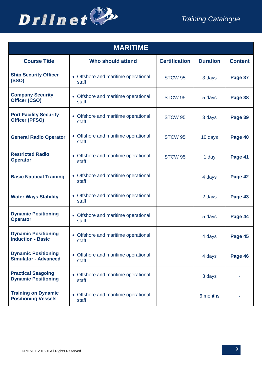

<span id="page-8-0"></span>

| <b>MARITIME</b>                                           |                                              |                      |                 |                |
|-----------------------------------------------------------|----------------------------------------------|----------------------|-----------------|----------------|
| <b>Course Title</b>                                       | <b>Who should attend</b>                     | <b>Certification</b> | <b>Duration</b> | <b>Content</b> |
| <b>Ship Security Officer</b><br>(SSO)                     | • Offshore and maritime operational<br>staff | STCW <sub>95</sub>   | 3 days          | Page 37        |
| <b>Company Security</b><br>Officer (CSO)                  | • Offshore and maritime operational<br>staff | STCW <sub>95</sub>   | 5 days          | Page 38        |
| <b>Port Facility Security</b><br><b>Officer (PFSO)</b>    | • Offshore and maritime operational<br>staff | STCW <sub>95</sub>   | 3 days          | Page 39        |
| <b>General Radio Operator</b>                             | • Offshore and maritime operational<br>staff | STCW <sub>95</sub>   | 10 days         | Page 40        |
| <b>Restricted Radio</b><br><b>Operator</b>                | • Offshore and maritime operational<br>staff | STCW <sub>95</sub>   | 1 day           | Page 41        |
| <b>Basic Nautical Training</b>                            | • Offshore and maritime operational<br>staff |                      | 4 days          | Page 42        |
| <b>Water Ways Stability</b>                               | • Offshore and maritime operational<br>staff |                      | 2 days          | Page 43        |
| <b>Dynamic Positioning</b><br><b>Operator</b>             | • Offshore and maritime operational<br>staff |                      | 5 days          | Page 44        |
| <b>Dynamic Positioning</b><br><b>Induction - Basic</b>    | • Offshore and maritime operational<br>staff |                      | 4 days          | Page 45        |
| <b>Dynamic Positioning</b><br><b>Simulator - Advanced</b> | • Offshore and maritime operational<br>staff |                      | 4 days          | Page 46        |
| <b>Practical Seagoing</b><br><b>Dynamic Positioning</b>   | • Offshore and maritime operational<br>staff |                      | 3 days          |                |
| <b>Training on Dynamic</b><br><b>Positioning Vessels</b>  | • Offshore and maritime operational<br>staff |                      | 6 months        |                |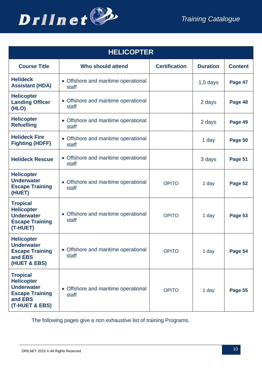



<span id="page-9-0"></span>

| <b>HELICOPTER</b>                                                                                                |                                              |                      |                 |                |
|------------------------------------------------------------------------------------------------------------------|----------------------------------------------|----------------------|-----------------|----------------|
| <b>Course Title</b>                                                                                              | <b>Who should attend</b>                     | <b>Certification</b> | <b>Duration</b> | <b>Content</b> |
| <b>Helideck</b><br><b>Assistant (HDA)</b>                                                                        | • Offshore and maritime operational<br>staff |                      | $1,5$ days      | Page 47        |
| <b>Helicopter</b><br><b>Landing Officer</b><br>(HLO)                                                             | • Offshore and maritime operational<br>staff |                      | 2 days          | Page 48        |
| <b>Helicopter</b><br><b>Refuelling</b>                                                                           | • Offshore and maritime operational<br>staff |                      | 2 days          | Page 49        |
| <b>Helideck Fire</b><br><b>Fighting (HDFF)</b>                                                                   | • Offshore and maritime operational<br>staff |                      | 1 day           | Page 50        |
| <b>Helideck Rescue</b>                                                                                           | • Offshore and maritime operational<br>staff |                      | 3 days          | Page 51        |
| <b>Helicopter</b><br><b>Underwater</b><br><b>Escape Training</b><br>(HUET)                                       | • Offshore and maritime operational<br>staff | <b>OPITO</b>         | 1 day           | Page 52        |
| <b>Tropical</b><br><b>Helicopter</b><br><b>Underwater</b><br><b>Escape Training</b><br>(T-HUET)                  | • Offshore and maritime operational<br>staff | <b>OPITO</b>         | 1 day           | Page 53        |
| <b>Helicopter</b><br><b>Underwater</b><br><b>Escape Training</b><br>and EBS<br>(HUET & EBS)                      | • Offshore and maritime operational<br>staff | <b>OPITO</b>         | 1 day           | Page 54        |
| <b>Tropical</b><br><b>Helicopter</b><br><b>Underwater</b><br><b>Escape Training</b><br>and EBS<br>(T-HUET & EBS) | • Offshore and maritime operational<br>staff | <b>OPITO</b>         | 1 day           | Page 55        |

The following pages give a non exhaustive list of training Programs.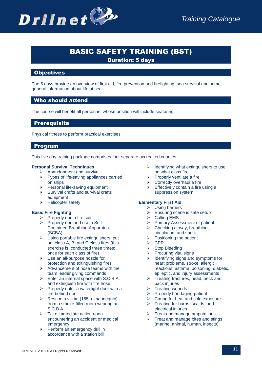### BASIC SAFETY TRAINING (BST)

Duration: 5 days

### **Objectives**

The 5 days provide an overview of first aid, fire prevention and firefighting, sea survival and some general information about life at sea.

### Who should attend

The course will benefit all personnel whose position will include seafaring.

### **Prerequisite**

Physical fitness to perform practical exercises

### Program

This five day training package comprises four separate accredited courses:

### **Personal Survival Techniques**

- $\triangleright$  Abandonment and survival
- $\triangleright$  Types of life-saving appliances carried on ships
- $\triangleright$  Personal life-saving equipment
- $\triangleright$  Survival crafts and survival crafts equipment
- $\triangleright$  Helicopter safety

### **Basic Fire Fighting**

- $\triangleright$  Properly don a fire suit
- $\triangleright$  Properly don and use a Self-Contained Breathing Apparatus (SCBA)
- $\triangleright$  Using portable fire extinguishers, put out class A, B, and C class fires (this exercise is conducted three times: once for each class of fire)
- Use an all-purpose nozzle for protection and extinguishing fires
- $\triangleright$  Advancement of hose teams with the team leader giving commands
- $\triangleright$  Enter an internal space with S.C.B.A. and extinguish fire with fire hose
- $\triangleright$  Properly enter a watertight door with a fire behind door
- $\triangleright$  Rescue a victim (165lb. mannequin) from a smoke-filled room wearing an S.C.B.A.
- $\triangleright$  Take immediate action upon encountering an accident or medical emergency
- $\triangleright$  Perform an emergency drill in accordance with a station bill
- $\triangleright$  Identifying what extinguishers to use on what class fire
- $\triangleright$  Properly ventilate a fire
- $\triangleright$  Correctly overhaul a fire
- $\triangleright$  Effectively contain a fire using a suppression system

### **Elementary First Aid**

### $\triangleright$  Using barriers

- $\triangleright$  Ensuring scene is safe setup
- $\triangleright$  Calling EMS
- $\triangleright$  Primary Assessment of patient
- $\triangleright$  Checking airway, breathing,
- circulation, and shock
- $\triangleright$  Positioning the patient
- $\triangleright$  CPR
- $\triangleright$  Stop Bleeding
- $\triangleright$  Procuring vital signs
- $\triangleright$  Identifying signs and symptoms for heart problems, stroke, allergic reactions, asthma, poisoning, diabetic, epileptic, and injury assessments
- $\triangleright$  Treating fractures, head, neck and back injuries
- $\triangleright$  Treating wounds
- $\triangleright$  Properly bandaging patient
- Caring for heat and cold exposure
- $\triangleright$  Treating for burns, scalds, and electrical injuries
- Treat and manage amputations
- $\triangleright$  Treat and manage bites and stings (marine, animal, human, insects)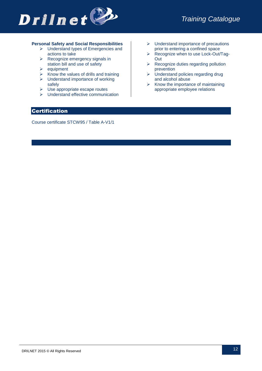

### **Personal Safety and Social Responsibilities**

- $\triangleright$  Understand types of Emergencies and actions to take
- $\triangleright$  Recognize emergency signals in station bill and use of safety
- $\ge$  equipment<br> $\ge$  Know the v
- Know the values of drills and training
- $\triangleright$  Understand importance of working safely
- $\triangleright$  Use appropriate escape routes
- $\triangleright$  Understand effective communication
- $\triangleright$  Understand importance of precautions prior to entering a confined space
- ▶ Recognize when to use Lock-Out/Tag-Out
- $\triangleright$  Recognize duties regarding pollution prevention
- $\triangleright$  Understand policies regarding drug and alcohol abuse
- $\triangleright$  Know the importance of maintaining appropriate employee relations

### Certification

Course certificate STCW95 / Table A-V1/1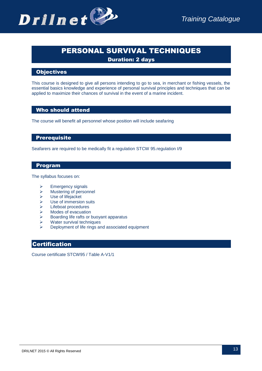### PERSONAL SURVIVAL TECHNIQUES

Duration: 2 days

### **Objectives**

This course is designed to give all persons intending to go to sea, in merchant or fishing vessels, the essential basics knowledge and experience of personal survival principles and techniques that can be applied to maximize their chances of survival in the event of a marine incident.

### Who should attend

The course will benefit all personnel whose position will include seafaring

### **Prerequisite**

Seafarers are required to be medically fit a regulation STCW 95.regulation I/9

### Program

The syllabus focuses on:

- $\triangleright$  Emergency signals
- Mustering of personnel
- Use of lifejacket
- $\geq$  Use of immersion suits<br> $\geq$  Lifeboat procedures
- $\geq$  Lifeboat procedures<br> $\geq$  Modes of evacuation
- Modes of evacuation
- $\triangleright$  Boarding life rafts or buoyant apparatus
- $\triangleright$  Water survival techniques
- Deployment of life rings and associated equipment

### Certification

Course certificate STCW95 / Table A-V1/1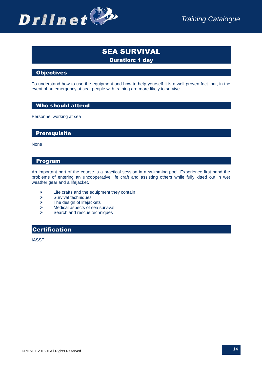

### SEA SURVIVAL Duration: 1 day

### **Objectives**

To understand how to use the equipment and how to help yourself it is a well-proven fact that, in the event of an emergency at sea, people with training are more likely to survive.

### Who should attend

Personnel working at sea

### **Prerequisite**

None

### Program

An important part of the course is a practical session in a swimming pool. Experience first hand the problems of entering an uncooperative life craft and assisting others while fully kitted out in wet weather gear and a lifejacket.

- $\geq$  Life crafts and the equipment they contain<br>  $\geq$  Survival techniques
- Survival techniques
- $\geq$  The design of lifejackets<br> $\geq$  Medical aspects of sea s
- $\triangleright$  Medical aspects of sea survival<br> $\triangleright$  Search and rescue techniques
- Search and rescue techniques

### Certification

IASST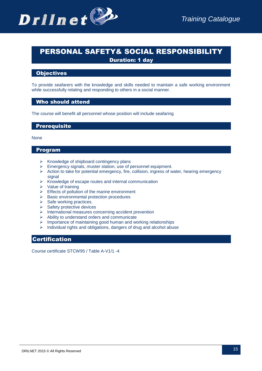

### PERSONAL SAFETY& SOCIAL RESPONSIBILITY Duration: 1 day

### **Objectives**

To provide seafarers with the knowledge and skills needed to maintain a safe working environment while successfully relating and responding to others in a social manner.

### Who should attend

The course will benefit all personnel whose position will include seafaring

### **Prerequisite**

#### None

### Program

- $\triangleright$  Knowledge of shipboard contingency plans
- $\triangleright$  Emergency signals, muster station, use of personnel equipment.
- $\triangleright$  Action to take for potential emergency, fire, collision, ingress of water, hearing emergency signal
- $\triangleright$  Knowledge of escape routes and internal communication
- $\triangleright$  Value of training
- $\triangleright$  Effects of pollution of the marine environment
- $\triangleright$  Basic environmental protection procedures
- $\triangleright$  Safe working practices.
- $\triangleright$  Safety protective devices
- $\triangleright$  International measures concerning accident prevention
- $\triangleright$  Ability to understand orders and communicate
- $\triangleright$  Importance of maintaining good human and working relationships
- $\triangleright$  Individual rights and obligations, dangers of drug and alcohol abuse

### **Certification**

Course certificate STCW95 / Table A-V1/1 -4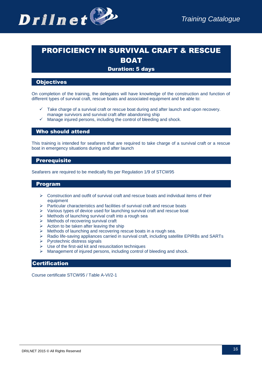

## PROFICIENCY IN SURVIVAL CRAFT & RESCUE BOAT

### Duration: 5 days

### **Objectives**

On completion of the training, the delegates will have knowledge of the construction and function of different types of survival craft, rescue boats and associated equipment and be able to:

- $\checkmark$  Take charge of a survival craft or rescue boat during and after launch and upon recovery. manage survivors and survival craft after abandoning ship
- $\checkmark$  Manage injured persons, including the control of bleeding and shock.

### Who should attend

This training is intended for seafarers that are required to take charge of a survival craft or a rescue boat in emergency situations during and after launch

### **Prerequisite**

Seafarers are required to be medically fits per Regulation 1/9 of STCW95

### Program

- $\triangleright$  Construction and outfit of survival craft and rescue boats and individual items of their equipment
- $\triangleright$  Particular characteristics and facilities of survival craft and rescue boats
- $\triangleright$  Various types of device used for launching survival craft and rescue boat
- $\triangleright$  Methods of launching survival craft into a rough sea
- > Methods of recovering survival craft
- $\triangleright$  Action to be taken after leaving the ship
- $\triangleright$  Methods of launching and recovering rescue boats in a rough sea.
- $\triangleright$  Radio life-saving appliances carried in survival craft, including satellite EPIRBs and SARTs
- $\triangleright$  Pyrotechnic distress signals
- $\triangleright$  Use of the first-aid kit and resuscitation techniques
- Management of injured persons, including control of bleeding and shock.

### **Certification**

Course certificate STCW95 / Table A-VI/2-1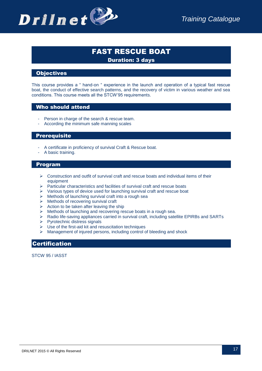

### FAST RESCUE BOAT Duration: 3 days

### **Objectives**

This course provides a " hand-on " experience in the launch and operation of a typical fast rescue boat, the conduct of effective search patterns, and the recovery of victim in various weather and sea conditions. This course meets all the STCW'95 requirements.

### Who should attend

- Person in charge of the search & rescue team.
- According the minimum safe manning scales

### **Prerequisite**

- A certificate in proficiency of survival Craft & Rescue boat.
- A basic training.

#### Program

- $\triangleright$  Construction and outfit of survival craft and rescue boats and individual items of their equipment
- $\triangleright$  Particular characteristics and facilities of survival craft and rescue boats
- $\triangleright$  Various types of device used for launching survival craft and rescue boat
- $\triangleright$  Methods of launching survival craft into a rough sea
- $\triangleright$  Methods of recovering survival craft
- $\triangleright$  Action to be taken after leaving the ship
- $\triangleright$  Methods of launching and recovering rescue boats in a rough sea.
- $\triangleright$  Radio life-saving appliances carried in survival craft, including satellite EPIRBs and SARTs
- $\triangleright$  Pyrotechnic distress signals
- $\triangleright$  Use of the first-aid kit and resuscitation techniques
- Management of injured persons, including control of bleeding and shock

### Certification

STCW 95 / IASST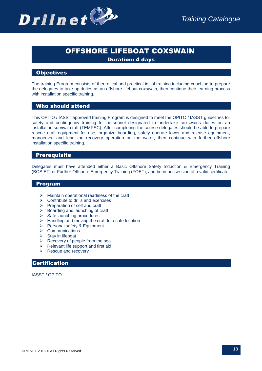

### OFFSHORE LIFEBOAT COXSWAIN

Duration: 4 days

### **Objectives**

The training Program consists of theoretical and practical initial training including coaching to prepare the delegates to take up duties as an offshore lifeboat coxswain, then continue their learning process with installation specific training.

### Who should attend

This OPITO / IASST approved training Program is designed to meet the OPITO / IASST guidelines for safety and contingency training for personnel designated to undertake coxswains duties on an installation survival craft (TEMPSC). After completing the course delegates should be able to prepare rescue craft equipment for use, organize boarding, safely operate lower and release equipment, manoeuvre and lead the recovery operation on the water, then continue with further offshore installation specific training.

### **Prerequisite**

Delegates must have attended either a Basic Offshore Safety Induction & Emergency Training (BOSIET) or Further Offshore Emergency Training (FOET), and be in possession of a valid certificate.

### Program

- $\triangleright$  Maintain operational readiness of the craft
- $\triangleright$  Contribute to drills and exercises
- $\triangleright$  Preparation of self and craft
- $\triangleright$  Boarding and launching of craft
- $\triangleright$  Safe launching procedures
- $\triangleright$  Handling and moving the craft to a safe location
- $\triangleright$  Personal safety & Equipment
- $\triangleright$  Communications
- $\triangleright$  Stay in lifeboat
- $\triangleright$  Recovery of people from the sea
- $\triangleright$  Relevant life support and first aid
- $\triangleright$  Rescue and recovery

### Certification

IASST / OPITO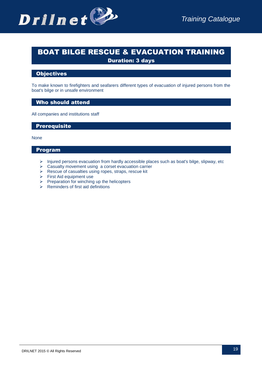

### BOAT BILGE RESCUE & EVACUATION TRAINING Duration: 3 days

### **Objectives**

To make known to firefighters and seafarers different types of evacuation of injured persons from the boat's bilge or in unsafe environment

### Who should attend

All companies and institutions staff

### **Prerequisite**

None

### Program

- $\triangleright$  Injured persons evacuation from hardly accessible places such as boat's bilge, slipway, etc
- $\triangleright$  Casualty movement using a corset evacuation carrier
- $\triangleright$  Rescue of casualties using ropes, straps, rescue kit
- $\triangleright$  First Aid equipment use
- $\triangleright$  Preparation for winching up the helicopters
- $\triangleright$  Reminders of first aid definitions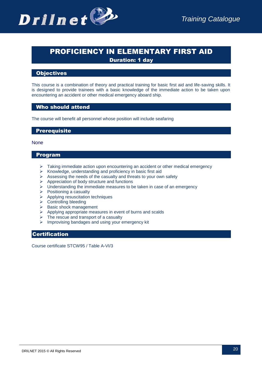

### PROFICIENCY IN ELEMENTARY FIRST AID Duration: 1 day

### **Objectives**

This course is a combination of theory and practical training for basic first aid and life-saving skills. It is designed to provide trainees with a basic knowledge of the immediate action to be taken upon encountering an accident or other medical emergency aboard ship.

### Who should attend

The course will benefit all personnel whose position will include seafaring

### **Prerequisite**

### **None**

### Program

- $\triangleright$  Taking immediate action upon encountering an accident or other medical emergency
- $\triangleright$  Knowledge, understanding and proficiency in basic first aid
- $\triangleright$  Assessing the needs of the casualty and threats to your own safety
- $\triangleright$  Appreciation of body structure and functions
- $\triangleright$  Understanding the immediate measures to be taken in case of an emergency
- $\triangleright$  Positioning a casualty
- $\triangleright$  Applying resuscitation techniques
- $\triangleright$  Controlling bleeding
- $\triangleright$  Basic shock management
- $\triangleright$  Applying appropriate measures in event of burns and scalds  $\triangleright$  The rescue and transport of a casualty
- The rescue and transport of a casualty
- $\triangleright$  Improvising bandages and using your emergency kit

### Certification

Course certificate STCW95 / Table A-VI/3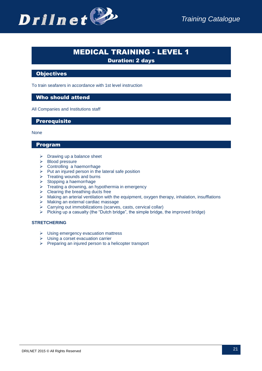

### MEDICAL TRAINING - LEVEL 1

Duration: 2 days

### **Objectives**

To train seafarers in accordance with 1st level instruction

### Who should attend

All Companies and Institutions staff

### **Prerequisite**

None

### Program

- $\triangleright$  Drawing up a balance sheet
- $\triangleright$  Blood pressure
- $\triangleright$  Controlling a haemorrhage
- $\triangleright$  Put an injured person in the lateral safe position
- $\triangleright$  Treating wounds and burns
- $\triangleright$  Stopping a haemorrhage
- $\triangleright$  Treating a drowning, an hypothermia in emergency
- $\triangleright$  Clearing the breathing ducts free
- Making an arterial ventilation with the equipment, oxygen therapy, inhalation, insufflations
- > Making an external cardiac massage
- $\triangleright$  Carrying out immobilizations (scarves, casts, cervical collar)
- $\triangleright$  Picking up a casualty (the "Dutch bridge", the simple bridge, the improved bridge)

### **STRETCHERING**

- $\triangleright$  Using emergency evacuation mattress
- $\triangleright$  Using a corset evacuation carrier
- $\triangleright$  Preparing an injured person to a helicopter transport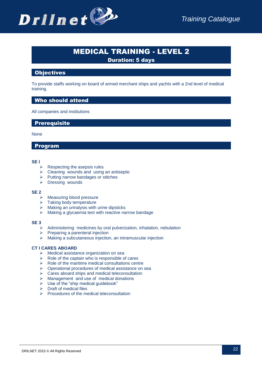

### MEDICAL TRAINING - LEVEL 2

Duration: 5 days

### **Objectives**

To provide staffs working on board of armed merchant ships and yachts with a 2nd level of medical training.

### Who should attend

All companies and institutions

**Prerequisite** 

None

### Program

#### **SE I**

- $\triangleright$  Respecting the asepsis rules
- $\triangleright$  Cleaning wounds and using an antiseptic
- $\triangleright$  Putting narrow bandages or stitches
- $\triangleright$  Dressing wounds

#### **SE 2**

- $\triangleright$  Measuring blood pressure
- $\geq$  Taking body temperature<br> $\geq$  Making an urinalysis with
- Making an urinalysis with urine dipsticks
- Making a glycaemia test with reactive narrow bandage

#### **SE 3**

- $\triangleright$  Administering medicines by oral pulverization, inhalation, nebulation
- $\triangleright$  Preparing a parenteral injection
- $\triangleright$  Making a subcutaneous injection, an intramuscular injection

#### **CT I CARES ABOARD**

- $\triangleright$  Medical assistance organization on sea
- $\triangleright$  Role of the captain who is responsible of cares
- $\triangleright$  Role of the maritime medical consultations centre
- $\triangleright$  Operational procedures of medical assistance on sea
- $\triangleright$  Cares aboard ships and medical teleconsultation
- $\triangleright$  Management and use of medical donations
- $\triangleright$  Use of the "ship medical quidebook"
- $\triangleright$  Draft of medical files
- $\triangleright$  Procedures of the medical teleconsultation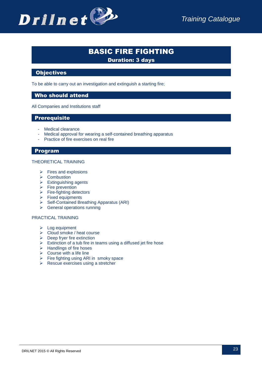

## BASIC FIRE FIGHTING

Duration: 3 days

### **Objectives**

To be able to carry out an investigation and extinguish a starting fire;

### Who should attend

All Companies and Institutions staff

### Prerequisite

- Medical clearance
- Medical approval for wearing a self-contained breathing apparatus
- Practice of fire exercises on real fire

### Program

#### THEORETICAL TRAINING

- $\triangleright$  Fires and explosions
- $\triangleright$  Combustion
- $\triangleright$  Extinguishing agents
- $\triangleright$  Fire prevention
- $\triangleright$  Fire-fighting detectors
- $\triangleright$  Fixed equipments
- $\triangleright$  Self-Contained Breathing Apparatus (ARI)
- $\triangleright$  General operations running

#### PRACTICAL TRAINING

- $\triangleright$  Log equipment
- $\triangleright$  Cloud smoke / heat course
- $\triangleright$  Deep fryer fire extinction
- $\triangleright$  Extinction of a tub fire in teams using a diffused jet fire hose
- $\triangleright$  Handlings of fire hoses
- $\triangleright$  Course with a life line
- $\triangleright$  Fire fighting using ARI in smoky space
- $\triangleright$  Rescue exercises using a stretcher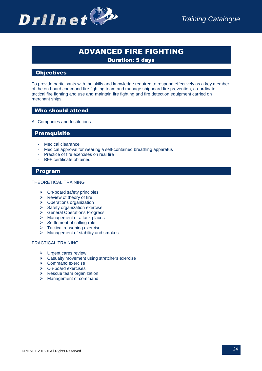

### ADVANCED FIRE FIGHTING

Duration: 5 days

### **Objectives**

To provide participants with the skills and knowledge required to respond effectively as a key member of the on board command fire fighting team and manage shipboard fire prevention, co-ordinate tactical fire fighting and use and maintain fire fighting and fire detection equipment carried on merchant ships.

### Who should attend

All Companies and Institutions

### Prerequisite

- Medical clearance
- Medical approval for wearing a self-contained breathing apparatus
- Practice of fire exercises on real fire
- BFF certificate obtained

### Program

#### THEORETICAL TRAINING

- $\triangleright$  On-board safety principles
- $\triangleright$  Review of theory of fire
- $\triangleright$  Operations organization
- $\triangleright$  Safety organization exercise
- **▶ General Operations Progress**
- Management of attack places
- $\triangleright$  Settlement of calling role
- > Tactical reasoning exercise
- $\triangleright$  Management of stability and smokes

#### PRACTICAL TRAINING

- $\triangleright$  Urgent cares review
- $\triangleright$  Casualty movement using stretchers exercise
- $\triangleright$  Command exercise
- On-board exercises
- $\triangleright$  Rescue team organization
- > Management of command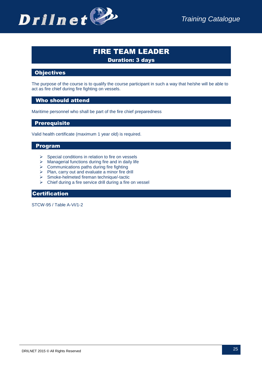

## FIRE TEAM LEADER

Duration: 3 days

### Objectives

The purpose of the course is to qualify the course participant in such a way that he/she will be able to act as fire chief during fire fighting on vessels.

### Who should attend

Maritime personnel who shall be part of the fire chief preparedness

### Prerequisite

Valid health certificate (maximum 1 year old) is required.

### Program

- $\triangleright$  Special conditions in relation to fire on vessels
- $\triangleright$  Managerial functions during fire and in daily life
- $\triangleright$  Communications paths during fire fighting
- > Plan, carry out and evaluate a minor fire drill
- $\triangleright$  Smoke-helmeted fireman technique/-tactic
- $\triangleright$  Chief during a fire service drill during a fire on vessel

### Certification

STCW-95 / Table A-VI/1-2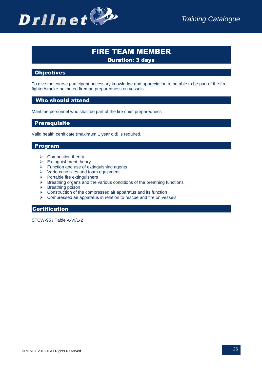

### FIRE TEAM MEMBER Duration: 3 days

### Objectives

To give the course participant necessary knowledge and appreciation to be able to be part of the fire fighter/smoke-helmeted fireman preparedness on vessels.

### Who should attend

Maritime personnel who shall be part of the fire chief preparedness

### Prerequisite

Valid health certificate (maximum 1 year old) is required.

### Program

- $\triangleright$  Combustion theory
- $\triangleright$  Extinguishment theory
- $\triangleright$  Function and use of extinguishing agents
- Various nozzles and foam equipment
- $\triangleright$  Portable fire extinguishers
- $\triangleright$  Breathing organs and the various conditions of the breathing functions
- $\triangleright$  Breathing poison
- $\triangleright$  Construction of the compressed air apparatus and its function
- Compressed air apparatus in relation to rescue and fire on vessels

### Certification

STCW-95 / Table A-VI/1-2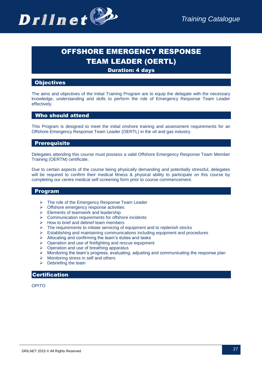

## OFFSHORE EMERGENCY RESPONSE TEAM LEADER (OERTL)

Duration: 4 days

### **Objectives**

The aims and objectives of the Initial Training Program are to equip the delegate with the necessary knowledge, understanding and skills to perform the role of Emergency Response Team Leader effectively.

### Who should attend

This Program is designed to meet the initial onshore training and assessment requirements for an Offshore Emergency Response Team Leader (OERTL) in the oil and gas industry.

### Prerequisite

Delegates attending this course must possess a valid Offshore Emergency Response Team Member Training (OERTM) certificate.

Due to certain aspects of the course being physically demanding and potentially stressful, delegates will be required to confirm their medical fitness & physical ability to participate on this course by completing our centre medical self-screening form prior to course commencement.

### Program

- The role of the Emergency Response Team Leader
- $\triangleright$  Offshore emergency response activities
- $\triangleright$  Elements of teamwork and leadership
- $\triangleright$  Communication requirements for offshore incidents
- $\triangleright$  How to brief and debrief team members
- $\triangleright$  The requirements to initiate servicing of equipment and to replenish stocks
- $\triangleright$  Establishing and maintaining communications including equipment and procedures
- $\triangleright$  Allocating and confirming the team's duties and tasks
- $\triangleright$  Operation and use of firefighting and rescue equipment
- $\triangleright$  Operation and use of breathing apparatus
- $\triangleright$  Monitoring the team's progress, evaluating, adjusting and communicating the response plan
- $\triangleright$  Monitoring stress in self and others
- $\triangleright$  Debriefing the team

### Certification

OPITO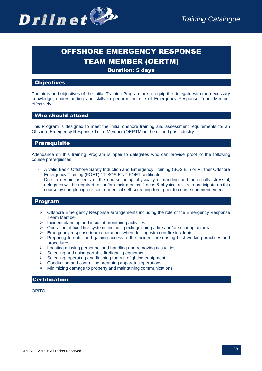

## OFFSHORE EMERGENCY RESPONSE TEAM MEMBER (OERTM)

Duration: 5 days

### **Objectives**

The aims and objectives of the Initial Training Program are to equip the delegate with the necessary knowledge, understanding and skills to perform the role of Emergency Response Team Member effectively.

### Who should attend

This Program is designed to meet the initial onshore training and assessment requirements for an Offshore Emergency Response Team Member (OERTM) in the oil and gas industry

### Prerequisite

Attendance on this training Program is open to delegates who can provide proof of the following course prerequisites:

- A valid Basic Offshore Safety Induction and Emergency Training (BOSIET) or Further Offshore Emergency Training (FOET) / T-BOSIET/T-FOET certificate
- Due to certain aspects of the course being physically demanding and potentially stressful, delegates will be required to confirm their medical fitness & physical ability to participate on this course by completing our centre medical self-screening form prior to course commencement

### Program

- $\triangleright$  Offshore Emergency Response arrangements including the role of the Emergency Response Team Member
- $\triangleright$  Incident planning and incident monitoring activities
- Operation of fixed fire systems including extinguishing a fire and/or securing an area
- $\triangleright$  Emergency response team operations when dealing with non-fire incidents
- $\triangleright$  Preparing to enter and gaining access to the incident area using best working practices and procedures
- $\triangleright$  Locating missing personnel and handling and removing casualties
- $\triangleright$  Selecting and using portable firefighting equipment
- $\triangleright$  Selecting, operating and flushing foam firefighting equipment
- $\triangleright$  Conducting and controlling breathing apparatus operations
- $\triangleright$  Minimizing damage to property and maintaining communications

### **Certification**

OPITO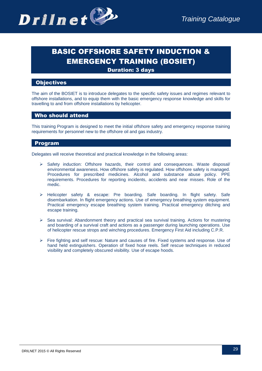

## BASIC OFFSHORE SAFETY INDUCTION & EMERGENCY TRAINING (BOSIET)

Duration: 3 days

### **Objectives**

The aim of the BOSIET is to introduce delegates to the specific safety issues and regimes relevant to offshore installations, and to equip them with the basic emergency response knowledge and skills for travelling to and from offshore installations by helicopter.

### Who should attend

This training Program is designed to meet the initial offshore safety and emergency response training requirements for personnel new to the offshore oil and gas industry.

### Program

Delegates will receive theoretical and practical knowledge in the following areas:

- $\triangleright$  Safety induction: Offshore hazards, their control and consequences. Waste disposal/ environmental awareness. How offshore safety is regulated. How offshore safety is managed. Procedures for prescribed medicines. Alcohol and substance abuse policy. PPE requirements. Procedures for reporting incidents, accidents and near misses. Role of the medic.
- $\triangleright$  Helicopter safety & escape: Pre boarding. Safe boarding. In flight safety. Safe disembarkation. In flight emergency actions. Use of emergency breathing system equipment. Practical emergency escape breathing system training. Practical emergency ditching and escape training.
- $\geq$  Sea survival: Abandonment theory and practical sea survival training. Actions for mustering and boarding of a survival craft and actions as a passenger during launching operations. Use of helicopter rescue strops and winching procedures. Emergency First Aid including C.P.R.
- Fire fighting and self rescue: Nature and causes of fire. Fixed systems and response. Use of hand held extinguishers. Operation of fixed hose reels. Self rescue techniques in reduced visibility and completely obscured visibility. Use of escape hoods.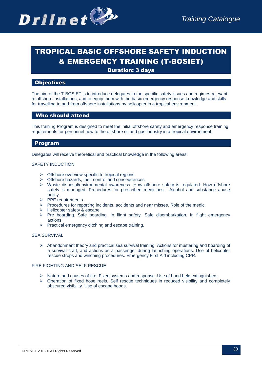## TROPICAL BASIC OFFSHORE SAFETY INDUCTION & EMERGENCY TRAINING (T-BOSIET)

Duration: 3 days

### **Objectives**

The aim of the T-BOSIET is to introduce delegates to the specific safety issues and regimes relevant to offshore installations, and to equip them with the basic emergency response knowledge and skills for travelling to and from offshore installations by helicopter in a tropical environment.

### Who should attend

This training Program is designed to meet the initial offshore safety and emergency response training requirements for personnel new to the offshore oil and gas industry in a tropical environment.

### Program

Delegates will receive theoretical and practical knowledge in the following areas:

#### SAFETY INDUCTION

- $\triangleright$  Offshore overview specific to tropical regions.
- $\triangleright$  Offshore hazards, their control and consequences.
- $\triangleright$  Waste disposal/environmental awareness. How offshore safety is regulated. How offshore safety is managed. Procedures for prescribed medicines. Alcohol and substance abuse policy.
- $\triangleright$  PPE requirements.
- Procedures for reporting incidents, accidents and near misses. Role of the medic.
- > Helicopter safety & escape:
- $\triangleright$  Pre boarding. Safe boarding. In flight safety. Safe disembarkation. In flight emergency actions.
- $\triangleright$  Practical emergency ditching and escape training.

#### SEA SURVIVAL

 $\triangleright$  Abandonment theory and practical sea survival training. Actions for mustering and boarding of a survival craft, and actions as a passenger during launching operations. Use of helicopter rescue strops and winching procedures. Emergency First Aid including CPR.

#### FIRE FIGHTING AND SELF RESCUE

- $\triangleright$  Nature and causes of fire. Fixed systems and response. Use of hand held extinguishers.
- $\triangleright$  Operation of fixed hose reels. Self rescue techniques in reduced visibility and completely obscured visibility. Use of escape hoods.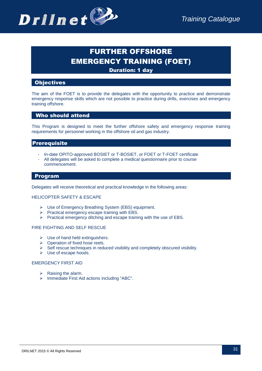

## FURTHER OFFSHORE EMERGENCY TRAINING (FOET)

Duration: 1 day

### **Objectives**

The aim of the FOET is to provide the delegates with the opportunity to practice and demonstrate emergency response skills which are not possible to practice during drills, exercises and emergency training offshore.

### Who should attend

This Program is designed to meet the further offshore safety and emergency response training requirements for personnel working in the offshore oil and gas industry.

### **Prerequisite**

- In-date OPITO-approved BOSIET or T-BOSIET, or FOET or T-FOET certificate
- All delegates will be asked to complete a medical questionnaire prior to course commencement.

### Program

Delegates will receive theoretical and practical knowledge in the following areas:

#### HELICOPTER SAFETY & ESCAPE

- Use of Emergency Breathing System (EBS) equipment.
- $\triangleright$  Practical emergency escape training with EBS.
- $\triangleright$  Practical emergency ditching and escape training with the use of EBS.

#### FIRE FIGHTING AND SELF RESCUE

- $\triangleright$  Use of hand held extinguishers.
- $\triangleright$  Operation of fixed hose reels.
- $\triangleright$  Self rescue techniques in reduced visibility and completely obscured visibility.
- Use of escape hoods.

#### EMERGENCY FIRST AID

- $\triangleright$  Raising the alarm.
- $\triangleright$  Immediate First Aid actions including "ABC".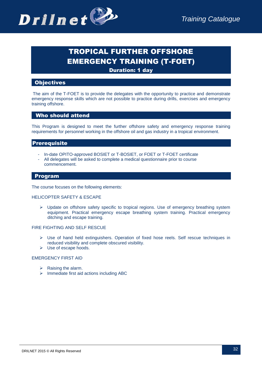

## TROPICAL FURTHER OFFSHORE EMERGENCY TRAINING (T-FOET)

**Duration: 1 day** 

### **Objectives**

The aim of the T-FOET is to provide the delegates with the opportunity to practice and demonstrate emergency response skills which are not possible to practice during drills, exercises and emergency training offshore.

### Who should attend

This Program is designed to meet the further offshore safety and emergency response training requirements for personnel working in the offshore oil and gas industry in a tropical environment.

### **Prerequisite**

- In-date OPITO-approved BOSIET or T-BOSIET, or FOET or T-FOET certificate
- All delegates will be asked to complete a medical questionnaire prior to course commencement.

### Program

The course focuses on the following elements:

#### HELICOPTER SAFETY & ESCAPE

 $\triangleright$  Update on offshore safety specific to tropical regions. Use of emergency breathing system equipment. Practical emergency escape breathing system training. Practical emergency ditching and escape training.

#### FIRE FIGHTING AND SELF RESCUE

- $\triangleright$  Use of hand held extinguishers. Operation of fixed hose reels. Self rescue techniques in reduced visibility and complete obscured visibility.
- Use of escape hoods.

### EMERGENCY FIRST AID

- $\triangleright$  Raising the alarm.
- $\triangleright$  Immediate first aid actions including ABC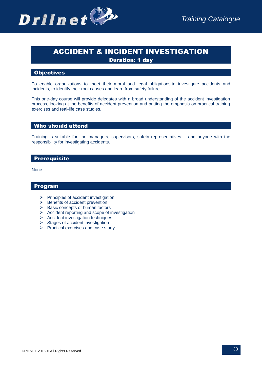

## ACCIDENT & INCIDENT INVESTIGATION

Duration: 1 day

### **Objectives**

To enable organizations to meet their moral and legal obligations to investigate accidents and incidents, to identify their root causes and learn from safety failure

This one-day course will provide delegates with a broad understanding of the accident investigation process, looking at the benefits of accident prevention and putting the emphasis on practical training exercises and real-life case studies.

### Who should attend

Training is suitable for line managers, supervisors, safety representatives – and anyone with the responsibility for investigating accidents.

### Prerequisite

None

### Program

- $\triangleright$  Principles of accident investigation
- $\triangleright$  Benefits of accident prevention
- $\triangleright$  Basic concepts of human factors
- $\triangleright$  Accident reporting and scope of investigation
- $\triangleright$  Accident investigation techniques
- $\triangleright$  Stages of accident investigation
- $\triangleright$  Practical exercises and case study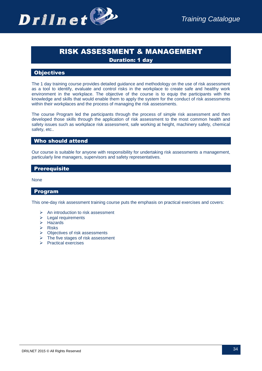

### RISK ASSESSMENT & MANAGEMENT Duration: 1 day

### **Objectives**

The 1 day training course provides detailed guidance and methodology on the use of risk assessment as a tool to identify, evaluate and control risks in the workplace to create safe and healthy work environment in the workplace. The objective of the course is to equip the participants with the knowledge and skills that would enable them to apply the system for the conduct of risk assessments within their workplaces and the process of managing the risk assessments.

The course Program led the participants through the process of simple risk assessment and then developed those skills through the application of risk assessment to the most common health and safety issues such as workplace risk assessment, safe working at height, machinery safety, chemical safety, etc..

### Who should attend

Our course is suitable for anyone with responsibility for undertaking risk assessments a management, particularly line managers, supervisors and safety representatives.

### Prerequisite

None

### Program

This one-day risk assessment training course puts the emphasis on practical exercises and covers:

- $\triangleright$  An introduction to risk assessment
- $\triangleright$  Legal requirements
- > Hazards
- $\triangleright$  Risks
- > Objectives of risk assessments
- $\triangleright$  The five stages of risk assessment
- $\triangleright$  Practical exercises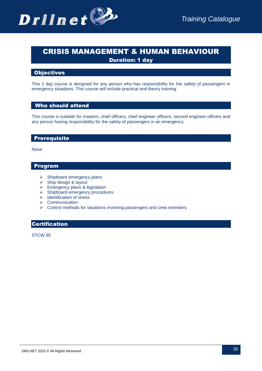

## CRISIS MANAGEMENT & HUMAN BEHAVIOUR

Duration: 1 day

### **Objectives**

This 1 day course is designed for any person who has responsibility for the safety of passengers in emergency situations. This course will include practical and theory training.

### Who should attend

This course is suitable for masters, chief officers, chief engineer officers, second engineer officers and any person having responsibility for the safety of passengers in an emergency.

### Prerequisite

None

### Program

- $\triangleright$  Shipboard emergency plans
- $\triangleright$  Ship design & layout
- $\triangleright$  Emergency plans & legislation
- $\triangleright$  Shipboard emergency procedures
- $\triangleright$  Identification of stress
- ▶ Communication
- $\triangleright$  Control methods for situations involving passengers and crew members

### Certification

STCW 95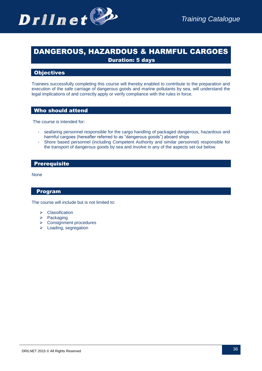

### DANGEROUS, HAZARDOUS & HARMFUL CARGOES Duration: 5 days

### Objectives

Trainees successfully completing this course will thereby enabled to contribute to the preparation and execution of the safe carriage of dangerous goods and marine pollutants by sea, will understand the legal implications of and correctly apply or verify compliance with the rules in force.

### Who should attend

The course is intended for:

- seafaring personnel responsible for the cargo handling of packaged dangerous, hazardous and harmful cargoes (hereafter referred to as "dangerous goods") aboard ships
- Shore based personnel (including Competent Authority and similar personnel) responsible for the transport of dangerous goods by sea and involve in any of the aspects set out below.

### Prerequisite

None

### Program

The course will include but is not limited to:

- Classification
- $\triangleright$  Packaging
- **▶ Consignment procedures**
- $\triangleright$  Loading, segregation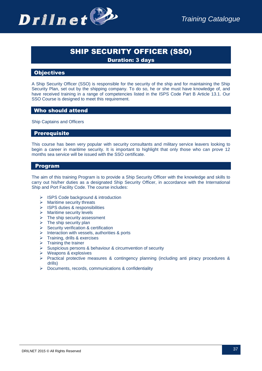

### SHIP SECURITY OFFICER (SSO)

Duration: 3 days

### **Objectives**

A Ship Security Officer (SSO) is responsible for the security of the ship and for maintaining the Ship Security Plan, set out by the shipping company. To do so, he or she must have knowledge of, and have received training in a range of competencies listed in the ISPS Code Part B Article 13.1. Our SSO Course is designed to meet this requirement.

### Who should attend

Ship Captains and Officers

### Prerequisite

This course has been very popular with security consultants and military service leavers looking to begin a career in maritime security. It is important to highlight that only those who can prove 12 months sea service will be issued with the SSO certificate.

### Program

The aim of this training Program is to provide a Ship Security Officer with the knowledge and skills to carry out his/her duties as a designated Ship Security Officer, in accordance with the International Ship and Port Facility Code. The course includes:

- $\triangleright$  ISPS Code background & introduction
- $\triangleright$  Maritime security threats
- $\triangleright$  ISPS duties & responsibilities
- $\triangleright$  Maritime security levels
- $\triangleright$  The ship security assessment
- $\triangleright$  The ship security plan
- $\triangleright$  Security verification & certification
- $\triangleright$  Interaction with vessels, authorities & ports
- $\triangleright$  Training, drills & exercises
- $\triangleright$  Training the trainer
- $\triangleright$  Suspicious persons & behaviour & circumvention of security
- $\triangleright$  Weapons & explosives
- $\triangleright$  Practical protective measures & contingency planning (including anti piracy procedures & drills)
- Documents, records, communications & confidentiality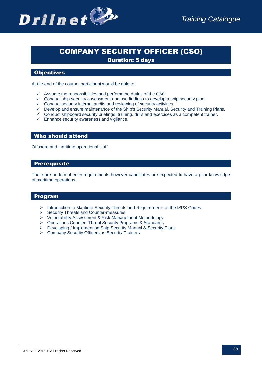

### COMPANY SECURITY OFFICER (CSO)

Duration: 5 days

### **Objectives**

At the end of the course, participant would be able to:

- Assume the responsibilities and perform the duties of the CSO.
- $\checkmark$  Conduct ship security assessment and use findings to develop a ship security plan.
- $\checkmark$  Conduct security internal audits and reviewing of security activities.
- $\checkmark$  Develop and ensure maintenance of the Ship's Security Manual, Security and Training Plans.
- $\checkmark$  Conduct shipboard security briefings, training, drills and exercises as a competent trainer.
- $\checkmark$  Enhance security awareness and vigilance.

### Who should attend

Offshore and maritime operational staff

### Prerequisite

There are no formal entry requirements however candidates are expected to have a prior knowledge of maritime operations.

### Program

- $\triangleright$  Introduction to Maritime Security Threats and Requirements of the ISPS Codes
- $\triangleright$  Security Threats and Counter-measures
- Vulnerability Assessment & Risk Management Methodology
- Operations Counter- Threat Security Programs & Standards
- Developing / Implementing Ship Security Manual & Security Plans
- ▶ Company Security Officers as Security Trainers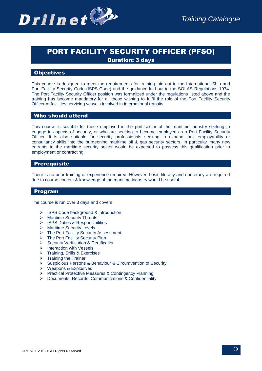

## PORT FACILITY SECURITY OFFICER (PFSO)

Duration: 3 days

### **Objectives**

This course is designed to meet the requirements for training laid out in the International Ship and Port Facility Security Code (ISPS Code) and the guidance laid out in the SOLAS Regulations 1974. The Port Facility Security Officer position was formalized under the regulations listed above and the training has become mandatory for all those wishing to fulfil the role of the Port Facility Security Officer at facilities servicing vessels involved in international transits.

### Who should attend

This course is suitable for those employed in the port sector of the maritime industry seeking to engage in aspects of security, or who are seeking to become employed as a Port Facility Security Officer. It is also suitable for security professionals seeking to expand their employability or consultancy skills into the burgeoning maritime oil & gas security sectors. In particular many new entrants to the maritime security sector would be expected to possess this qualification prior to employment or contracting.

### Prerequisite

There is no prior training or experience required. However, basic literacy and numeracy are required due to course content & knowledge of the maritime industry would be useful.

### Program

The course is run over 3 days and covers:

- $\triangleright$  ISPS Code background & introduction
- > Maritime Security Threats
- > ISPS Duties & Responsibilities
- $\triangleright$  Maritime Security Levels
- > The Port Facility Security Assessment
- $\triangleright$  The Port Facility Security Plan
- Security Verification & Certification
- $\triangleright$  Interaction with Vessels
- $\triangleright$  Training, Drills & Exercises
- $\triangleright$  Training the Trainer
- Suspicious Persons & Behaviour & Circumvention of Security
- Weapons & Explosives
- ▶ Practical Protective Measures & Contingency Planning
- Documents, Records, Communications & Confidentiality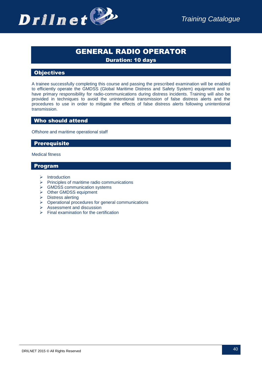

### GENERAL RADIO OPERATOR

Duration: 10 days

### **Objectives**

A trainee successfully completing this course and passing the prescribed examination will be enabled to efficiently operate the GMDSS (Global Maritime Distress and Safety System) equipment and to have primary responsibility for radio-communications during distress incidents. Training will also be provided in techniques to avoid the unintentional transmission of false distress alerts and the procedures to use in order to mitigate the effects of false distress alerts following unintentional transmission.

### Who should attend

Offshore and maritime operational staff

### Prerequisite

Medical fitness

### Program

- $\triangleright$  Introduction
- $\triangleright$  Principles of maritime radio communications
- $\triangleright$  GMDSS communication systems
- > Other GMDSS equipment
- > Distress alerting
- $\triangleright$  Operational procedures for general communications
- $\triangleright$  Assessment and discussion
- $\triangleright$  Final examination for the certification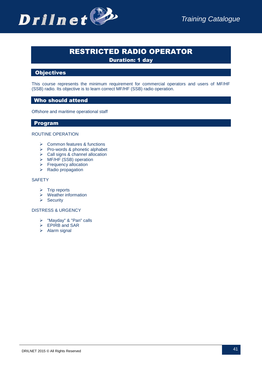

### RESTRICTED RADIO OPERATOR

Duration: 1 day

### **Objectives**

This course represents the minimum requirement for commercial operators and users of MF/HF (SSB) radio. Its objective is to learn correct MF/HF (SSB) radio operation.

### Who should attend

Offshore and maritime operational staff

### Program

#### ROUTINE OPERATION

- $\triangleright$  Common features & functions
- $\triangleright$  Pro-words & phonetic alphabet
- $\triangleright$  Call signs & channel allocation
- > MF/HF (SSB) operation
- Frequency allocation
- $\triangleright$  Radio propagation

### **SAFETY**

- $\triangleright$  Trip reports
- $\triangleright$  Weather information
- $\triangleright$  Security

#### DISTRESS & URGENCY

- > "Mayday" & "Pan" calls
- ▶ EPIRB and SAR
- $\triangleright$  Alarm signal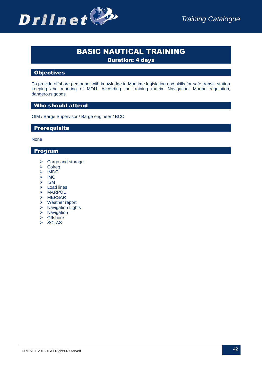### BASIC NAUTICAL TRAINING

Duration: 4 days

### **Objectives**

To provide offshore personnel with knowledge in Maritime legislation and skills for safe transit, station keeping and mooring of MOU. According the training matrix, Navigation, Marine regulation, dangerous goods

### Who should attend

OIM / Barge Supervisor / Barge engineer / BCO

### Prerequisite

None

### Program

- $\triangleright$  Cargo and storage
- **≻** Colreg
- > IMDG
- $>$  IMO
- $\triangleright$  ISM
- $\triangleright$  Load lines
- $\triangleright$  MARPOL
- $\triangleright$  MERSAR
- Weather report
- $\triangleright$  Navigation Lights
- $\triangleright$  Navigation
- > Offshore
- $\triangleright$  SOLAS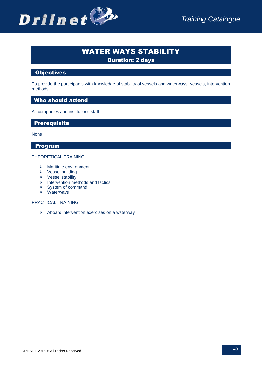

### WATER WAYS STABILITY

Duration: 2 days

### **Objectives**

To provide the participants with knowledge of stability of vessels and waterways: vessels, intervention methods.

### Who should attend

All companies and institutions staff

### Prerequisite

None

### Program

### THEORETICAL TRAINING

- $\triangleright$  Maritime environment
- $\triangleright$  Vessel building
- $\triangleright$  Vessel stability
- $\triangleright$  Intervention methods and tactics
- $\triangleright$  System of command
- $\triangleright$  Waterways

### PRACTICAL TRAINING

 $\triangleright$  Aboard intervention exercises on a waterway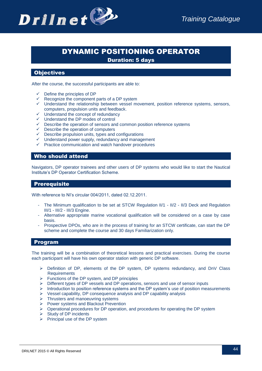

### DYNAMIC POSITIONING OPERATOR

Duration: 5 days

### **Objectives**

After the course, the successful participants are able to:

- $\checkmark$  Define the principles of DP
- $\checkmark$  Recognize the component parts of a DP system
- $\checkmark$  Understand the relationship between vessel movement, position reference systems, sensors, computers, propulsion units and feedback.
- $\checkmark$  Understand the concept of redundancy
- $\checkmark$  Understand the DP modes of control
- $\checkmark$  Describe the operation of sensors and common position reference systems
- $\checkmark$  Describe the operation of computers
- $\checkmark$  Describe propulsion units, types and configurations
- $\checkmark$  Understand power supply, redundancy and management
- $\checkmark$  Practice communication and watch handover procedures

### Who should attend

Navigators, DP operator trainees and other users of DP systems who would like to start the Nautical Institute's DP Operator Certification Scheme.

### Prerequisite

With reference to NI's circular 004/2011, dated 02.12.2011.

- The Minimum qualification to be set at STCW Regulation II/1 II/2 II/3 Deck and Regulation III/1 - III/2 - III/3 Engine.
- Alternative appropriate marine vocational qualification will be considered on a case by case basis.
- Prospective DPOs, who are in the process of training for an STCW certificate, can start the DP scheme and complete the course and 30 days Familiarization only.

### Program

The training will be a combination of theoretical lessons and practical exercises. During the course each participant will have his own operator station with generic DP software.

- $\triangleright$  Definition of DP, elements of the DP system, DP systems redundancy, and DnV Class **Requirements**
- $\triangleright$  Functions of the DP system, and DP principles
- $\triangleright$  Different types of DP vessels and DP operations, sensors and use of sensor inputs
- $\triangleright$  Introduction to position reference systems and the DP system's use of position measurements
- $\triangleright$  Vessel capability, DP consequence analysis and DP capability analysis
- $\triangleright$  Thrusters and manoeuvring systems
- Power systems and Blackout Prevention
- $\triangleright$  Operational procedures for DP operation, and procedures for operating the DP system
- $\triangleright$  Study of DP incidents
- $\triangleright$  Principal use of the DP system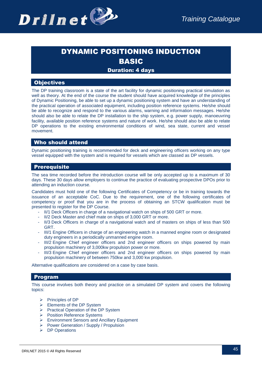

## DYNAMIC POSITIONING INDUCTION BASIC

### Duration: 4 days

### **Objectives**

The DP training classroom is a state of the art facility for dynamic positioning practical simulation as well as theory. At the end of the course the student should have acquired knowledge of the principles of Dynamic Positioning, be able to set up a dynamic positioning system and have an understanding of the practical operation of associated equipment, including position reference systems. He/she should be able to recognize and respond to the various alarms, warning and information messages. He/she should also be able to relate the DP installation to the ship system, e.g. power supply, manoeuvring facility, available position reference systems and nature of work. He/she should also be able to relate DP operations to the existing environmental conditions of wind, sea state, current and vessel movement.

### Who should attend

Dynamic positioning training is recommended for deck and engineering officers working on any type vessel equipped with the system and is required for vessels which are classed as DP vessels.

### Prerequisite

The sea time recorded before the introduction course will be only accepted up to a maximum of 30 days. These 30 days allow employers to continue the practice of evaluating prospective DPOs prior to attending an induction course.

Candidates must hold one of the following Certificates of Competency or be in training towards the issuance of an acceptable CoC. Due to the requirement, one of the following certificates of competency or proof that you are in the process of obtaining an STCW qualification must be presented to register for the DP Course.

- II/1 Deck Officers in charge of a navigational watch on ships of 500 GRT or more.
- II/2 Deck Master and chief mate on ships of 3,000 GRT or more.
- II/3 Deck Officers in charge of a navigational watch and of masters on ships of less than 500 GRT.
- III/1 Engine Officers in charge of an engineering watch in a manned engine room or designated duty engineers in a periodically unmanned engine room.
- III/2 Engine Chief engineer officers and 2nd engineer officers on ships powered by main propulsion machinery of 3,000kw propulsion power or more.
- III/3 Engine Chief engineer officers and 2nd engineer officers on ships powered by main propulsion machinery of between 750kw and 3,000 kw propulsion.

Alternative qualifications are considered on a case by case basis.

### Program

This course involves both theory and practice on a simulated DP system and covers the following topics:

- $\triangleright$  Principles of DP
- $\triangleright$  Elements of the DP System
- Practical Operation of the DP System
- ▶ Position Reference Systems
- Environment Sensors and Ancillary Equipment
- Power Generation / Supply / Propulsion
- **▶** DP Operations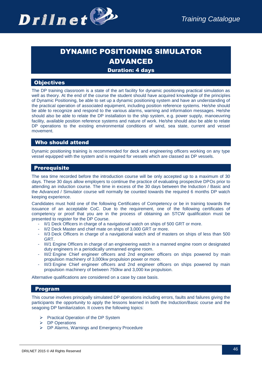

## DYNAMIC POSITIONING SIMULATOR ADVANCED

### Duration: 4 days

### **Objectives**

The DP training classroom is a state of the art facility for dynamic positioning practical simulation as well as theory. At the end of the course the student should have acquired knowledge of the principles of Dynamic Positioning, be able to set up a dynamic positioning system and have an understanding of the practical operation of associated equipment, including position reference systems. He/she should be able to recognize and respond to the various alarms, warning and information messages. He/she should also be able to relate the DP installation to the ship system, e.g. power supply, manoeuvring facility, available position reference systems and nature of work. He/she should also be able to relate DP operations to the existing environmental conditions of wind, sea state, current and vessel movement.

### Who should attend

Dynamic positioning training is recommended for deck and engineering officers working on any type vessel equipped with the system and is required for vessels which are classed as DP vessels.

### Prerequisite

The sea time recorded before the introduction course will be only accepted up to a maximum of 30 days. These 30 days allow employers to continue the practice of evaluating prospective DPOs prior to attending an induction course. The time in excess of the 30 days between the Induction / Basic and the Advanced / Simulator course will normally be counted towards the required 6 months DP watch keeping experience.

Candidates must hold one of the following Certificates of Competency or be in training towards the issuance of an acceptable CoC. Due to the requirement, one of the following certificates of competency or proof that you are in the process of obtaining an STCW qualification must be presented to register for the DP Course.

- II/1 Deck Officers in charge of a navigational watch on ships of 500 GRT or more.
- II/2 Deck Master and chief mate on ships of 3,000 GRT or more.
- II/3 Deck Officers in charge of a navigational watch and of masters on ships of less than 500 GRT.
- III/1 Engine Officers in charge of an engineering watch in a manned engine room or designated duty engineers in a periodically unmanned engine room.
- III/2 Engine Chief engineer officers and 2nd engineer officers on ships powered by main propulsion machinery of 3,000kw propulsion power or more.
- III/3 Engine Chief engineer officers and 2nd engineer officers on ships powered by main propulsion machinery of between 750kw and 3,000 kw propulsion.

Alternative qualifications are considered on a case by case basis.

### Program

This course involves principally simulated DP operations including errors, faults and failures giving the participants the opportunity to apply the lessons learned in both the Induction/Basic course and the seagoing DP familiarization. It covers the following topics:

- **Practical Operation of the DP System**
- > DP Operations
- ▶ DP Alarms, Warnings and Emergency Procedure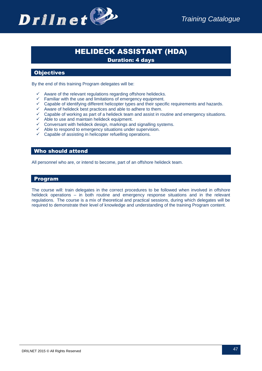

## HELIDECK ASSISTANT (HDA)

Duration: 4 days

### **Objectives**

By the end of this training Program delegates will be:

- $\checkmark$  Aware of the relevant regulations regarding offshore helidecks.
- $\checkmark$  Familiar with the use and limitations of emergency equipment.
- $\checkmark$  Capable of identifying different helicopter types and their specific requirements and hazards.
- $\checkmark$  Aware of helideck best practices and able to adhere to them.
- $\checkmark$  Capable of working as part of a helideck team and assist in routine and emergency situations.
- $\checkmark$  Able to use and maintain helideck equipment.
- $\checkmark$  Conversant with helideck design, markings and signalling systems.
- $\checkmark$  Able to respond to emergency situations under supervision.
- $\checkmark$  Capable of assisting in helicopter refuelling operations.

### Who should attend

All personnel who are, or intend to become, part of an offshore helideck team.

### Program

The course will: train delegates in the correct procedures to be followed when involved in offshore helideck operations – in both routine and emergency response situations and in the relevant regulations. The course is a mix of theoretical and practical sessions, during which delegates will be required to demonstrate their level of knowledge and understanding of the training Program content.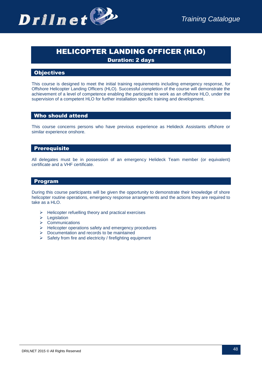

## HELICOPTER LANDING OFFICER (HLO)

Duration: 2 days

### **Objectives**

This course is designed to meet the initial training requirements including emergency response, for Offshore Helicopter Landing Officers (HLO). Successful completion of the course will demonstrate the achievement of a level of competence enabling the participant to work as an offshore HLO, under the supervision of a competent HLO for further installation specific training and development.

### Who should attend

This course concerns persons who have previous experience as Helideck Assistants offshore or similar experience onshore.

### Prerequisite

All delegates must be in possession of an emergency Helideck Team member (or equivalent) certificate and a VHF certificate.

### Program

During this course participants will be given the opportunity to demonstrate their knowledge of shore helicopter routine operations, emergency response arrangements and the actions they are required to take as a HLO.

- $\triangleright$  Helicopter refuelling theory and practical exercises
- $\blacktriangleright$  Legislation
- $\triangleright$  Communications
- $\triangleright$  Helicopter operations safety and emergency procedures
- $\triangleright$  Documentation and records to be maintained
- $\triangleright$  Safety from fire and electricity / firefighting equipment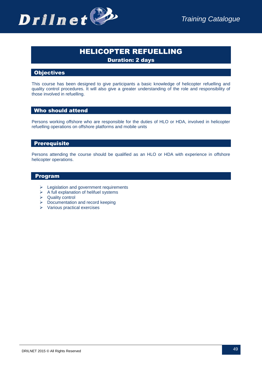## HELICOPTER REFUELLING

Duration: 2 days

### **Objectives**

This course has been designed to give participants a basic knowledge of helicopter refuelling and quality control procedures. It will also give a greater understanding of the role and responsibility of those involved in refuelling.

### Who should attend

Persons working offshore who are responsible for the duties of HLO or HDA, involved in helicopter refuelling operations on offshore platforms and mobile units

### Prerequisite

Persons attending the course should be qualified as an HLO or HDA with experience in offshore helicopter operations.

### Program

- $\triangleright$  Legislation and government requirements
- $\triangleright$  A full explanation of helifuel systems
- **▶** Quality control
- $\triangleright$  Documentation and record keeping
- $\triangleright$  Various practical exercises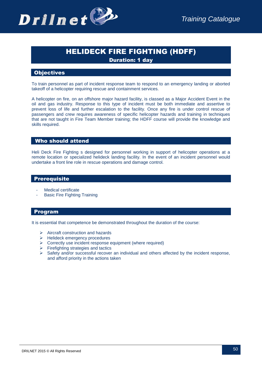

### HELIDECK FIRE FIGHTING (HDFF)

Duration: 1 day

### **Objectives**

To train personnel as part of incident response team to respond to an emergency landing or aborted takeoff of a helicopter requiring rescue and containment services.

A helicopter on fire, on an offshore major hazard facility, is classed as a Major Accident Event in the oil and gas industry. Response to this type of incident must be both immediate and assertive to prevent loss of life and further escalation to the facility. Once any fire is under control rescue of passengers and crew requires awareness of specific helicopter hazards and training in techniques that are not taught in Fire Team Member training; the HDFF course will provide the knowledge and skills required.

### Who should attend

Heli Deck Fire Fighting s designed for personnel working in support of helicopter operations at a remote location or specialized helideck landing facility. In the event of an incident personnel would undertake a front line role in rescue operations and damage control.

### Prerequisite

- Medical certificate
- Basic Fire Fighting Training

### Program

It is essential that competence be demonstrated throughout the duration of the course:

- $\triangleright$  Aircraft construction and hazards
- $\triangleright$  Helideck emergency procedures
- $\triangleright$  Correctly use incident response equipment (where required)
- $\triangleright$  Firefighting strategies and tactics
- $\triangleright$  Safety and/or successful recover an individual and others affected by the incident response, and afford priority in the actions taken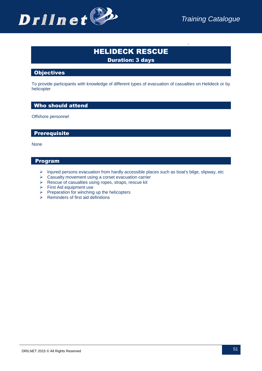

-

## HELIDECK RESCUE

Duration: 3 days

### **Objectives**

To provide participants with knowledge of different types of evacuation of casualties on Helideck or by helicopter

### Who should attend

Offshore personnel

### Prerequisite

None

### Program

- > Injured persons evacuation from hardly accessible places such as boat's bilge, slipway, etc
- $\triangleright$  Casualty movement using a corset evacuation carrier
- $\triangleright$  Rescue of casualties using ropes, straps, rescue kit
- $\triangleright$  First Aid equipment use
- $\triangleright$  Preparation for winching up the helicopters
- $\triangleright$  Reminders of first aid definitions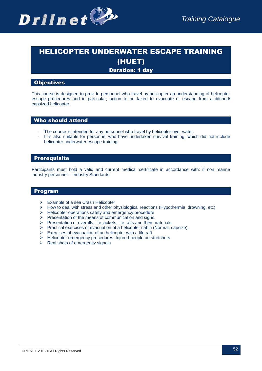## HELICOPTER UNDERWATER ESCAPE TRAINING (HUET)

### Duration: 1 day

### **Objectives**

This course is designed to provide personnel who travel by helicopter an understanding of helicopter escape procedures and in particular, action to be taken to evacuate or escape from a ditched/ capsized helicopter.

### Who should attend

- The course is intended for any personnel who travel by helicopter over water.
- It is also suitable for personnel who have undertaken survival training, which did not include helicopter underwater escape training

### Prerequisite

Participants must hold a valid and current medical certificate in accordance with: if non marine industry personnel – Industry Standards.

### Program

- $\triangleright$  Example of a sea Crash Helicopter
- $\triangleright$  How to deal with stress and other physiological reactions (Hypothermia, drowning, etc)
- $\triangleright$  Helicopter operations safety and emergency procedure
- $\triangleright$  Presentation of the means of communication and signs.
- $\triangleright$  Presentation of overalls, life jackets, life rafts and their materials
- $\triangleright$  Practical exercises of evacuation of a helicopter cabin (Normal, capsize).
- $\triangleright$  Exercises of evacuation of an helicopter with a life raft
- > Helicopter emergency procedures: Injured people on stretchers
- $\triangleright$  Real shots of emergency signals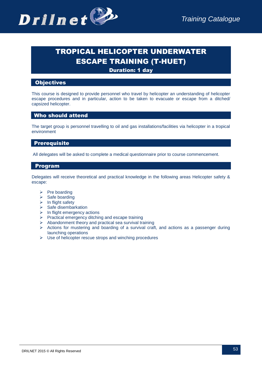

## TROPICAL HELICOPTER UNDERWATER ESCAPE TRAINING (T-HUET)

Duration: 1 day

### **Objectives**

This course is designed to provide personnel who travel by helicopter an understanding of helicopter escape procedures and in particular, action to be taken to evacuate or escape from a ditched/ capsized helicopter.

### Who should attend

The target group is personnel travelling to oil and gas installations/facilities via helicopter in a tropical environment

### Prerequisite

All delegates will be asked to complete a medical questionnaire prior to course commencement.

### Program

Delegates will receive theoretical and practical knowledge in the following areas Helicopter safety & escape:

- $\triangleright$  Pre boarding
- $\triangleright$  Safe boarding
- $\triangleright$  In flight safety
- $\triangleright$  Safe disembarkation
- $\triangleright$  In flight emergency actions
- $\triangleright$  Practical emergency ditching and escape training
- $\triangleright$  Abandonment theory and practical sea survival training
- $\triangleright$  Actions for mustering and boarding of a survival craft, and actions as a passenger during launching operations
- $\triangleright$  Use of helicopter rescue strops and winching procedures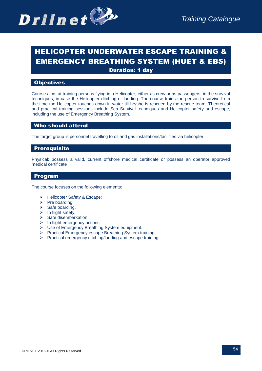

## HELICOPTER UNDERWATER ESCAPE TRAINING & EMERGENCY BREATHING SYSTEM (HUET & EBS)

Duration: 1 day

### **Objectives**

Course aims at training persons flying in a Helicopter, either as crew or as passengers, in the survival techniques, in case the Helicopter ditching or landing. The course trains the person to survive from the time the Helicopter touches down in water till he/she is rescued by the rescue team. Theoretical and practical training sessions include Sea Survival techniques and Helicopter safety and escape, including the use of Emergency Breathing System.

### Who should attend

The target group is personnel travelling to oil and gas installations/facilities via helicopter

### Prerequisite

Physical: possess a valid, current offshore medical certificate or possess an operator approved medical certificate

### Program

The course focuses on the following elements:

- > Helicopter Safety & Escape:
- $\triangleright$  Pre boarding.
- $\triangleright$  Safe boarding.
- $\triangleright$  In flight safety.
- $\triangleright$  Safe disembarkation.
- $\triangleright$  In flight emergency actions.
- Use of Emergency Breathing System equipment.
- Practical Emergency escape Breathing System training.
- $\triangleright$  Practical emergency ditching/landing and escape training